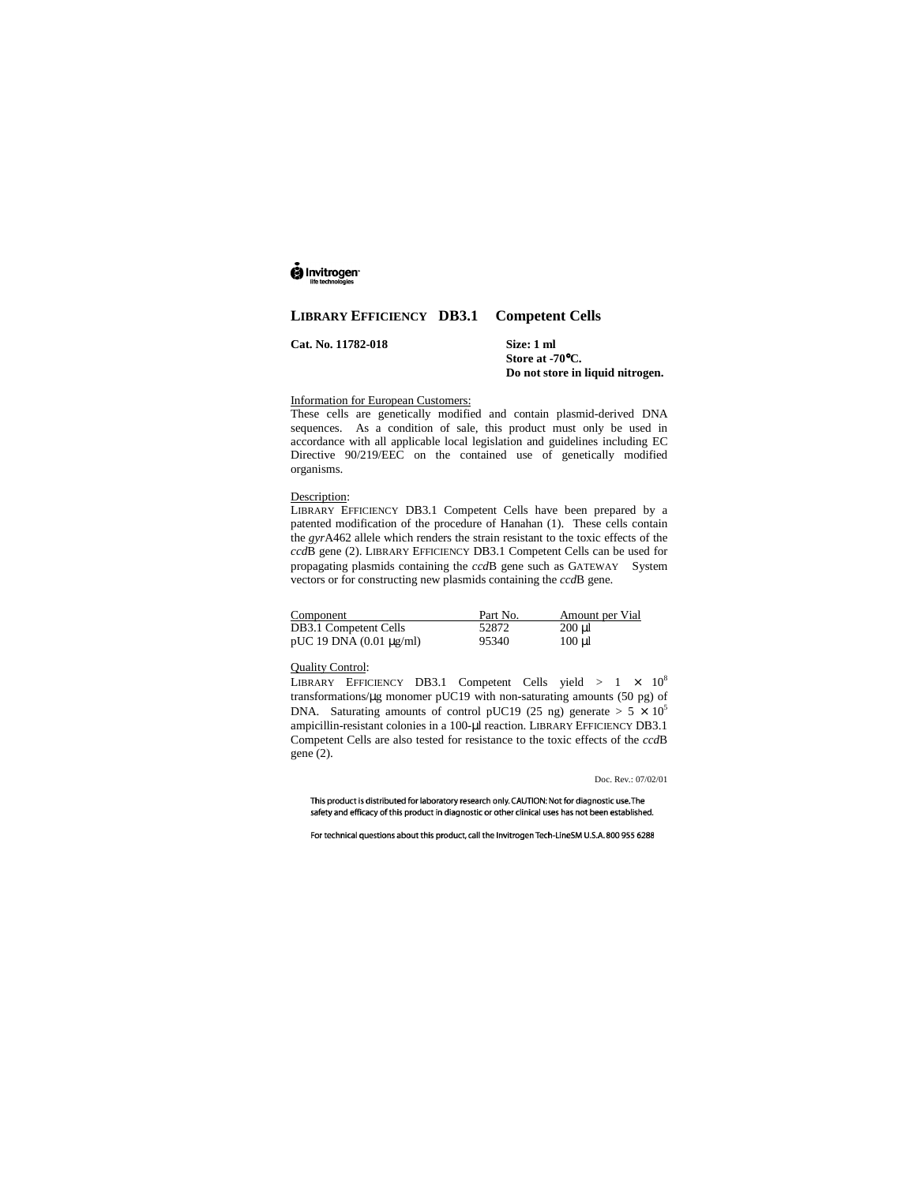# ig Invitrogen

## **LIBRARY EFFICIENCY DB3.1 Competent Cells**

**Cat. No. 11782-018 Size: 1 ml**

**Store at -70**°**C. Do not store in liquid nitrogen.**

## Information for European Customers:

These cells are genetically modified and contain plasmid-derived DNA sequences. As a condition of sale, this product must only be used in accordance with all applicable local legislation and guidelines including EC Directive 90/219/EEC on the contained use of genetically modified organisms.

#### Description:

LIBRARY EFFICIENCY DB3.1 Competent Cells have been prepared by a patented modification of the procedure of Hanahan (1). These cells contain the *gyr*A462 allele which renders the strain resistant to the toxic effects of the *ccd*B gene (2). LIBRARY EFFICIENCY DB3.1 Competent Cells can be used for propagating plasmids containing the *ccd*B gene such as GATEWAY™ System vectors or for constructing new plasmids containing the *ccd*B gene.

| Component                    | Part No. | Amount per Vial |
|------------------------------|----------|-----------------|
| DB3.1 Competent Cells        | 52872    | $200 \mu$ l     |
| pUC 19 DNA $(0.01 \mu g/ml)$ | 95340    | $100 \mu$       |

#### Quality Control:

LIBRARY EFFICIENCY DB3.1 Competent Cells yield >  $1 \times 10^8$ transformations/µg monomer pUC19 with non-saturating amounts (50 pg) of DNA. Saturating amounts of control pUC19 (25 ng) generate  $> 5 \times 10^5$ ampicillin-resistant colonies in a 100-µl reaction. LIBRARY EFFICIENCY DB3.1 Competent Cells are also tested for resistance to the toxic effects of the *ccd*B gene (2).

Doc. Rev.: 07/02/01

This product is distributed for laboratory research only. CAUTION: Not for diagnostic use. The safety and efficacy of this product in diagnostic or other clinical uses has not been established.

For technical questions about this product, call the Invitrogen Tech-LineSM U.S.A. 800 955 6288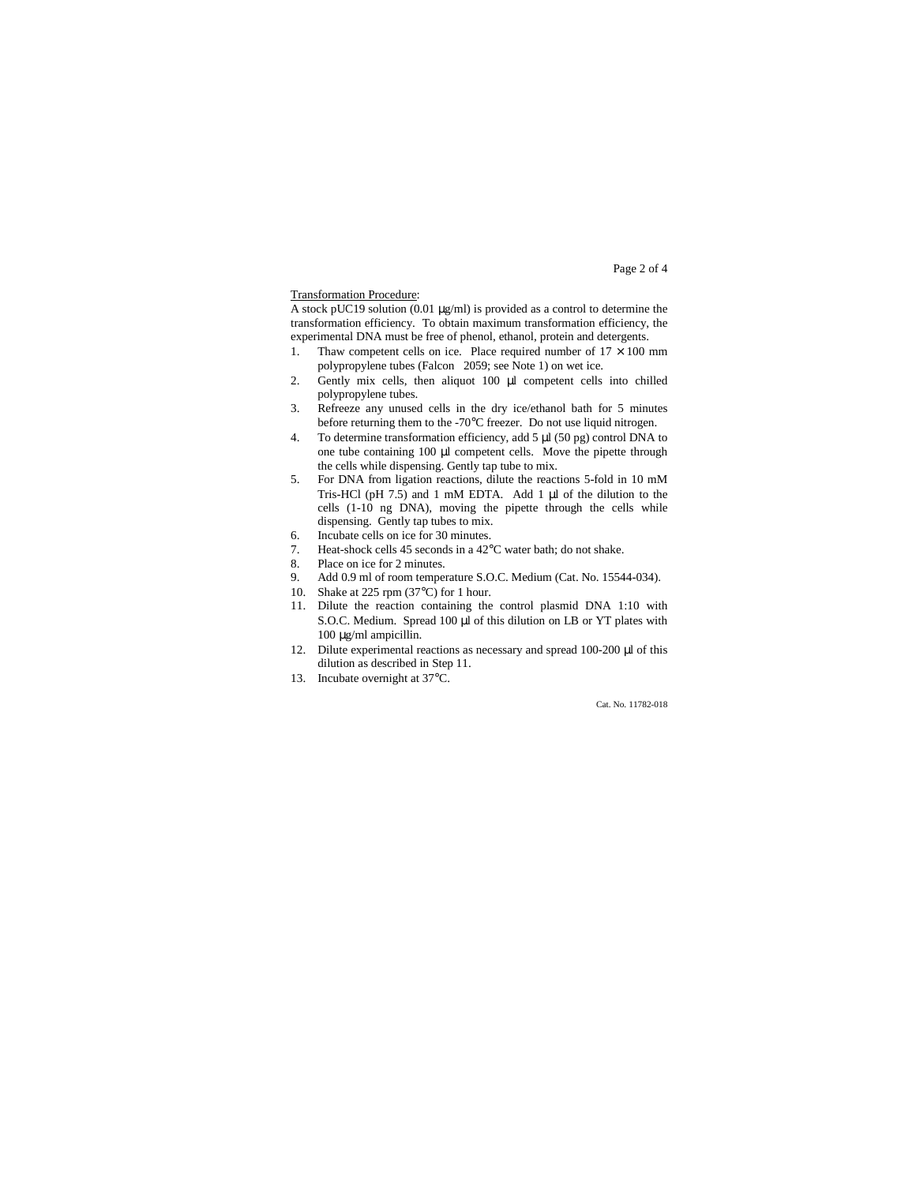#### Page 2 of 4

#### Transformation Procedure:

A stock pUC19 solution (0.01 µg/ml) is provided as a control to determine the transformation efficiency. To obtain maximum transformation efficiency, the experimental DNA must be free of phenol, ethanol, protein and detergents.

- 1. Thaw competent cells on ice. Place required number of  $17 \times 100$  mm polypropylene tubes (Falcon<sup>®</sup> 2059; see Note 1) on wet ice.
- 2. Gently mix cells, then aliquot 100  $\mu$ l competent cells into chilled polypropylene tubes.
- 3. Refreeze any unused cells in the dry ice/ethanol bath for 5 minutes before returning them to the -70°C freezer. Do not use liquid nitrogen.
- 4. To determine transformation efficiency, add 5 µl (50 pg) control DNA to one tube containing 100 µl competent cells. Move the pipette through the cells while dispensing. Gently tap tube to mix.
- 5. For DNA from ligation reactions, dilute the reactions 5-fold in 10 mM Tris-HCl (pH 7.5) and 1 mM EDTA. Add 1 µl of the dilution to the cells (1-10 ng DNA), moving the pipette through the cells while dispensing. Gently tap tubes to mix.
- 6. Incubate cells on ice for 30 minutes.
- 7. Heat-shock cells 45 seconds in a 42°C water bath; do not shake.<br>8. Place on ice for 2 minutes.
- 8. Place on ice for 2 minutes.<br>9. Add 0.9 ml of room temper
- Add 0.9 ml of room temperature S.O.C. Medium (Cat. No. 15544-034).
- 10. Shake at 225 rpm (37°C) for 1 hour.
- 11. Dilute the reaction containing the control plasmid DNA 1:10 with S.O.C. Medium. Spread 100 µl of this dilution on LB or YT plates with 100 µg/ml ampicillin.
- 12. Dilute experimental reactions as necessary and spread 100-200 µl of this dilution as described in Step 11.
- 13. Incubate overnight at 37°C.

Cat. No. 11782-018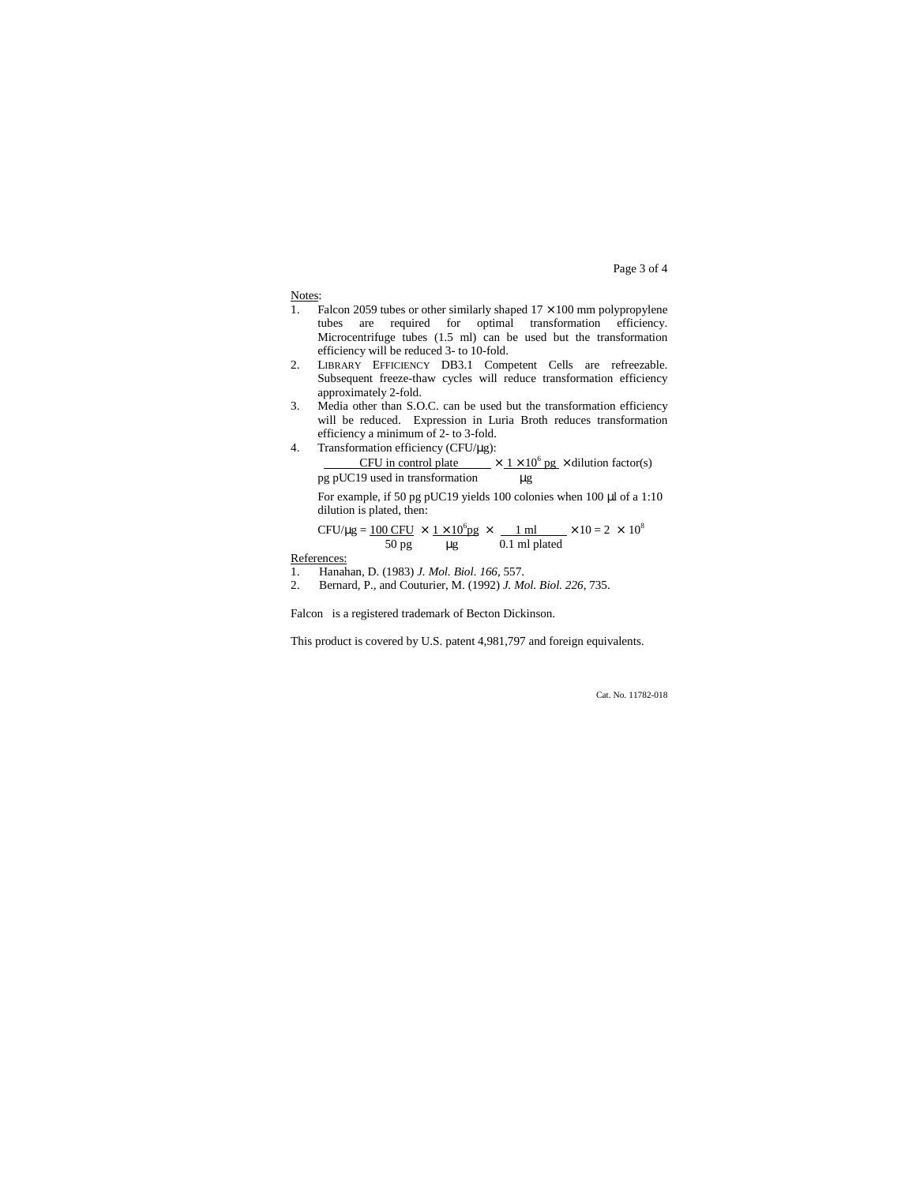Page 3 of 4

Notes:

- 1. Falcon 2059 tubes or other similarly shaped  $17 \times 100$  mm polypropylene tubes are required for optimal transformation efficiency. Microcentrifuge tubes  $(1.5 \text{ ml})$  can be used but the transformation efficiency will be reduced 3- to 10-fold.
- 2. LIBRARY EFFICIENCY DB3.1 Competent Cells are refreezable. Subsequent freeze-thaw cycles will reduce transformation efficiency approximately 2-fold.
- 3. Media other than S.O.C. can be used but the transformation efficiency will be reduced. Expression in Luria Broth reduces transformation efficiency a minimum of 2- to 3-fold.
- 4. Transformation efficiency (CFU/µg): CFU in control plate  $\times$  1  $\times$  10<sup>6</sup> pg  $\times$  dilution factor(s) pg pUC19 used in transformation  $$\mu g$$

For example, if 50 pg pUC19 yields 100 colonies when 100 µl of a 1:10 dilution is plated, then:

CFU/µg = 
$$
\frac{100 \text{ CFU}}{50 \text{ pg}} \times \frac{1 \times 10^6 \text{pg}}{\text{µg}} \times \frac{1 \text{ ml}}{0.1 \text{ ml placed}} \times 10 = 2 \times 10^8
$$

References:

- 1. Hanahan, D. (1983) *J. Mol. Biol. 166*, 557.
- 2. Bernard, P., and Couturier, M. (1992) *J. Mol. Biol. 226*, 735.

Falcon<sup>®</sup> is a registered trademark of Becton Dickinson.

This product is covered by U.S. patent 4,981,797 and foreign equivalents.

Cat. No. 11782-018